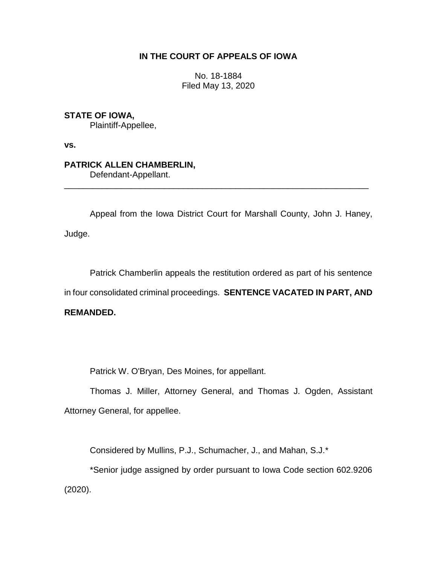## **IN THE COURT OF APPEALS OF IOWA**

No. 18-1884 Filed May 13, 2020

**STATE OF IOWA,**

Plaintiff-Appellee,

**vs.**

## **PATRICK ALLEN CHAMBERLIN,**

Defendant-Appellant.

Appeal from the Iowa District Court for Marshall County, John J. Haney, Judge.

\_\_\_\_\_\_\_\_\_\_\_\_\_\_\_\_\_\_\_\_\_\_\_\_\_\_\_\_\_\_\_\_\_\_\_\_\_\_\_\_\_\_\_\_\_\_\_\_\_\_\_\_\_\_\_\_\_\_\_\_\_\_\_\_

Patrick Chamberlin appeals the restitution ordered as part of his sentence in four consolidated criminal proceedings. **SENTENCE VACATED IN PART, AND REMANDED.**

Patrick W. O'Bryan, Des Moines, for appellant.

Thomas J. Miller, Attorney General, and Thomas J. Ogden, Assistant Attorney General, for appellee.

Considered by Mullins, P.J., Schumacher, J., and Mahan, S.J.\*

\*Senior judge assigned by order pursuant to Iowa Code section 602.9206 (2020).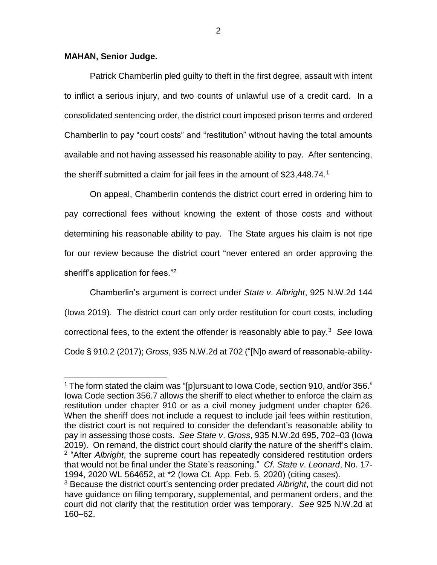## **MAHAN, Senior Judge.**

 $\overline{a}$ 

Patrick Chamberlin pled guilty to theft in the first degree, assault with intent to inflict a serious injury, and two counts of unlawful use of a credit card. In a consolidated sentencing order, the district court imposed prison terms and ordered Chamberlin to pay "court costs" and "restitution" without having the total amounts available and not having assessed his reasonable ability to pay. After sentencing, the sheriff submitted a claim for jail fees in the amount of \$23,448.74.<sup>1</sup>

On appeal, Chamberlin contends the district court erred in ordering him to pay correctional fees without knowing the extent of those costs and without determining his reasonable ability to pay. The State argues his claim is not ripe for our review because the district court "never entered an order approving the sheriff's application for fees."<sup>2</sup>

Chamberlin's argument is correct under *State v*. *Albright*, 925 N.W.2d 144 (Iowa 2019). The district court can only order restitution for court costs, including correctional fees, to the extent the offender is reasonably able to pay.<sup>3</sup> *See* Iowa Code § 910.2 (2017); *Gross*, 935 N.W.2d at 702 ("[N]o award of reasonable-ability-

 $1$  The form stated the claim was "[p]ursuant to Iowa Code, section 910, and/or 356." Iowa Code section 356.7 allows the sheriff to elect whether to enforce the claim as restitution under chapter 910 or as a civil money judgment under chapter 626. When the sheriff does not include a request to include jail fees within restitution, the district court is not required to consider the defendant's reasonable ability to pay in assessing those costs. *See State v*. *Gross*, 935 N.W.2d 695, 702–03 (Iowa 2019). On remand, the district court should clarify the nature of the sheriff's claim. 2 "After *Albright*, the supreme court has repeatedly considered restitution orders that would not be final under the State's reasoning." *Cf*. *State v*. *Leonard*, No. 17- 1994, 2020 WL 564652, at \*2 (Iowa Ct. App. Feb. 5, 2020) (citing cases).

<sup>3</sup> Because the district court's sentencing order predated *Albright*, the court did not have guidance on filing temporary, supplemental, and permanent orders, and the court did not clarify that the restitution order was temporary. *See* 925 N.W.2d at 160–62.